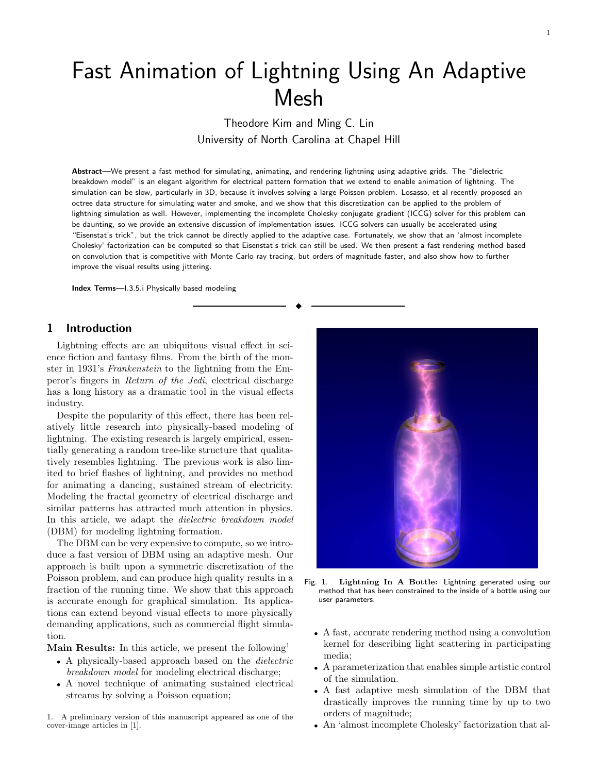# Fast Animation of Lightning Using An Adaptive Mesh

Theodore Kim and Ming C. Lin University of North Carolina at Chapel Hill

Abstract—We present a fast method for simulating, animating, and rendering lightning using adaptive grids. The "dielectric breakdown model" is an elegant algorithm for electrical pattern formation that we extend to enable animation of lightning. The simulation can be slow, particularly in 3D, because it involves solving a large Poisson problem. Losasso, et al recently proposed an octree data structure for simulating water and smoke, and we show that this discretization can be applied to the problem of lightning simulation as well. However, implementing the incomplete Cholesky conjugate gradient (ICCG) solver for this problem can be daunting, so we provide an extensive discussion of implementation issues. ICCG solvers can usually be accelerated using "Eisenstat's trick", but the trick cannot be directly applied to the adaptive case. Fortunately, we show that an 'almost incomplete Cholesky' factorization can be computed so that Eisenstat's trick can still be used. We then present a fast rendering method based on convolution that is competitive with Monte Carlo ray tracing, but orders of magnitude faster, and also show how to further improve the visual results using jittering.

◆

Index Terms—I.3.5.i Physically based modeling

# 1 Introduction

Lightning effects are an ubiquitous visual effect in science fiction and fantasy films. From the birth of the monster in 1931's Frankenstein to the lightning from the Emperor's fingers in Return of the Jedi, electrical discharge has a long history as a dramatic tool in the visual effects industry.

Despite the popularity of this effect, there has been relatively little research into physically-based modeling of lightning. The existing research is largely empirical, essentially generating a random tree-like structure that qualitatively resembles lightning. The previous work is also limited to brief flashes of lightning, and provides no method for animating a dancing, sustained stream of electricity. Modeling the fractal geometry of electrical discharge and similar patterns has attracted much attention in physics. In this article, we adapt the *dielectric* breakdown model (DBM) for modeling lightning formation.

The DBM can be very expensive to compute, so we introduce a fast version of DBM using an adaptive mesh. Our approach is built upon a symmetric discretization of the Poisson problem, and can produce high quality results in a fraction of the running time. We show that this approach is accurate enough for graphical simulation. Its applications can extend beyond visual effects to more physically demanding applications, such as commercial flight simulation.

Main Results: In this article, we present the following<sup>1</sup>

- A physically-based approach based on the *dielectric* breakdown model for modeling electrical discharge;
- A novel technique of animating sustained electrical streams by solving a Poisson equation;

1. A preliminary version of this manuscript appeared as one of the cover-image articles in [1].



Fig. 1. Lightning In A Bottle: Lightning generated using our method that has been constrained to the inside of a bottle using our user parameters.

- A fast, accurate rendering method using a convolution kernel for describing light scattering in participating media;
- A parameterization that enables simple artistic control of the simulation.
- A fast adaptive mesh simulation of the DBM that drastically improves the running time by up to two orders of magnitude;
- An 'almost incomplete Cholesky' factorization that al-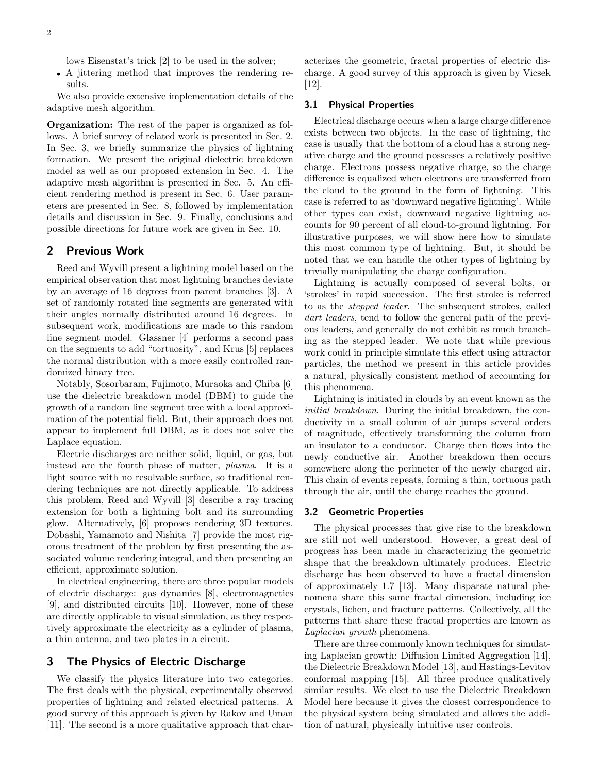lows Eisenstat's trick [2] to be used in the solver;

• A jittering method that improves the rendering results.

We also provide extensive implementation details of the adaptive mesh algorithm.

Organization: The rest of the paper is organized as follows. A brief survey of related work is presented in Sec. 2. In Sec. 3, we briefly summarize the physics of lightning formation. We present the original dielectric breakdown model as well as our proposed extension in Sec. 4. The adaptive mesh algorithm is presented in Sec. 5. An efficient rendering method is present in Sec. 6. User parameters are presented in Sec. 8, followed by implementation details and discussion in Sec. 9. Finally, conclusions and possible directions for future work are given in Sec. 10.

# 2 Previous Work

Reed and Wyvill present a lightning model based on the empirical observation that most lightning branches deviate by an average of 16 degrees from parent branches [3]. A set of randomly rotated line segments are generated with their angles normally distributed around 16 degrees. In subsequent work, modifications are made to this random line segment model. Glassner [4] performs a second pass on the segments to add "tortuosity", and Krus [5] replaces the normal distribution with a more easily controlled randomized binary tree.

Notably, Sosorbaram, Fujimoto, Muraoka and Chiba [6] use the dielectric breakdown model (DBM) to guide the growth of a random line segment tree with a local approximation of the potential field. But, their approach does not appear to implement full DBM, as it does not solve the Laplace equation.

Electric discharges are neither solid, liquid, or gas, but instead are the fourth phase of matter, plasma. It is a light source with no resolvable surface, so traditional rendering techniques are not directly applicable. To address this problem, Reed and Wyvill [3] describe a ray tracing extension for both a lightning bolt and its surrounding glow. Alternatively, [6] proposes rendering 3D textures. Dobashi, Yamamoto and Nishita [7] provide the most rigorous treatment of the problem by first presenting the associated volume rendering integral, and then presenting an efficient, approximate solution.

In electrical engineering, there are three popular models of electric discharge: gas dynamics [8], electromagnetics [9], and distributed circuits [10]. However, none of these are directly applicable to visual simulation, as they respectively approximate the electricity as a cylinder of plasma, a thin antenna, and two plates in a circuit.

# 3 The Physics of Electric Discharge

We classify the physics literature into two categories. The first deals with the physical, experimentally observed properties of lightning and related electrical patterns. A good survey of this approach is given by Rakov and Uman [11]. The second is a more qualitative approach that characterizes the geometric, fractal properties of electric discharge. A good survey of this approach is given by Vicsek [12].

## 3.1 Physical Properties

Electrical discharge occurs when a large charge difference exists between two objects. In the case of lightning, the case is usually that the bottom of a cloud has a strong negative charge and the ground possesses a relatively positive charge. Electrons possess negative charge, so the charge difference is equalized when electrons are transferred from the cloud to the ground in the form of lightning. This case is referred to as 'downward negative lightning'. While other types can exist, downward negative lightning accounts for 90 percent of all cloud-to-ground lightning. For illustrative purposes, we will show here how to simulate this most common type of lightning. But, it should be noted that we can handle the other types of lightning by trivially manipulating the charge configuration.

Lightning is actually composed of several bolts, or 'strokes' in rapid succession. The first stroke is referred to as the stepped leader. The subsequent strokes, called dart leaders, tend to follow the general path of the previous leaders, and generally do not exhibit as much branching as the stepped leader. We note that while previous work could in principle simulate this effect using attractor particles, the method we present in this article provides a natural, physically consistent method of accounting for this phenomena.

Lightning is initiated in clouds by an event known as the initial breakdown. During the initial breakdown, the conductivity in a small column of air jumps several orders of magnitude, effectively transforming the column from an insulator to a conductor. Charge then flows into the newly conductive air. Another breakdown then occurs somewhere along the perimeter of the newly charged air. This chain of events repeats, forming a thin, tortuous path through the air, until the charge reaches the ground.

## 3.2 Geometric Properties

The physical processes that give rise to the breakdown are still not well understood. However, a great deal of progress has been made in characterizing the geometric shape that the breakdown ultimately produces. Electric discharge has been observed to have a fractal dimension of approximately 1.7 [13]. Many disparate natural phenomena share this same fractal dimension, including ice crystals, lichen, and fracture patterns. Collectively, all the patterns that share these fractal properties are known as Laplacian growth phenomena.

There are three commonly known techniques for simulating Laplacian growth: Diffusion Limited Aggregation [14], the Dielectric Breakdown Model [13], and Hastings-Levitov conformal mapping [15]. All three produce qualitatively similar results. We elect to use the Dielectric Breakdown Model here because it gives the closest correspondence to the physical system being simulated and allows the addition of natural, physically intuitive user controls.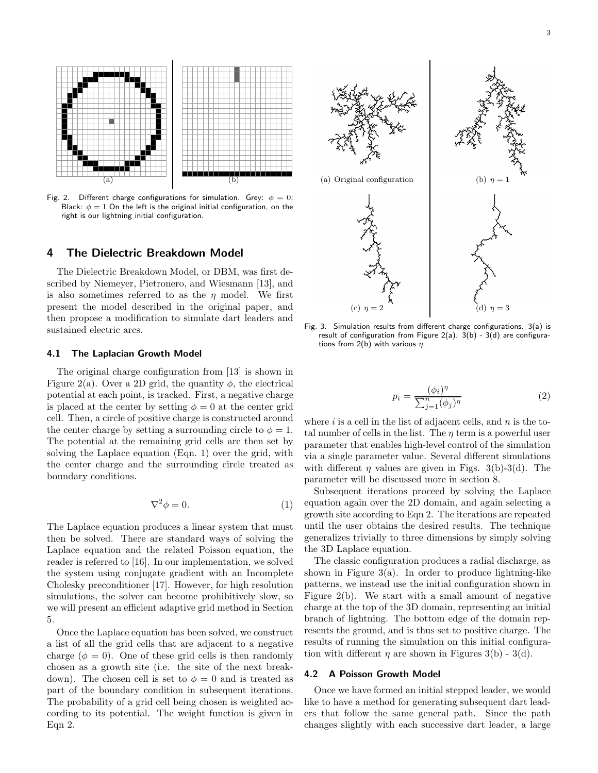

Fig. 2. Different charge configurations for simulation. Grey:  $\phi = 0$ ; Black:  $\phi = 1$  On the left is the original initial configuration, on the right is our lightning initial configuration.

# 4 The Dielectric Breakdown Model

The Dielectric Breakdown Model, or DBM, was first described by Niemeyer, Pietronero, and Wiesmann [13], and is also sometimes referred to as the  $\eta$  model. We first present the model described in the original paper, and then propose a modification to simulate dart leaders and sustained electric arcs.

# 4.1 The Laplacian Growth Model

The original charge configuration from [13] is shown in Figure 2(a). Over a 2D grid, the quantity  $\phi$ , the electrical potential at each point, is tracked. First, a negative charge is placed at the center by setting  $\phi = 0$  at the center grid cell. Then, a circle of positive charge is constructed around the center charge by setting a surrounding circle to  $\phi = 1$ . The potential at the remaining grid cells are then set by solving the Laplace equation (Eqn. 1) over the grid, with the center charge and the surrounding circle treated as boundary conditions.

$$
\nabla^2 \phi = 0. \tag{1}
$$

The Laplace equation produces a linear system that must then be solved. There are standard ways of solving the Laplace equation and the related Poisson equation, the reader is referred to [16]. In our implementation, we solved the system using conjugate gradient with an Incomplete Cholesky preconditioner [17]. However, for high resolution simulations, the solver can become prohibitively slow, so we will present an efficient adaptive grid method in Section 5.

Once the Laplace equation has been solved, we construct a list of all the grid cells that are adjacent to a negative charge ( $\phi = 0$ ). One of these grid cells is then randomly chosen as a growth site (i.e. the site of the next breakdown). The chosen cell is set to  $\phi = 0$  and is treated as part of the boundary condition in subsequent iterations. The probability of a grid cell being chosen is weighted according to its potential. The weight function is given in Eqn 2.



Fig. 3. Simulation results from different charge configurations. 3(a) is result of configuration from Figure 2(a).  $3(b)$  -  $3(d)$  are configurations from 2(b) with various  $\eta$ .

$$
p_i = \frac{(\phi_i)^{\eta}}{\sum_{j=1}^n (\phi_j)^{\eta}}
$$
 (2)

where i is a cell in the list of adjacent cells, and  $n$  is the total number of cells in the list. The  $\eta$  term is a powerful user parameter that enables high-level control of the simulation via a single parameter value. Several different simulations with different  $\eta$  values are given in Figs. 3(b)-3(d). The parameter will be discussed more in section 8.

Subsequent iterations proceed by solving the Laplace equation again over the 2D domain, and again selecting a growth site according to Eqn 2. The iterations are repeated until the user obtains the desired results. The technique generalizes trivially to three dimensions by simply solving the 3D Laplace equation.

The classic configuration produces a radial discharge, as shown in Figure  $3(a)$ . In order to produce lightning-like patterns, we instead use the initial configuration shown in Figure 2(b). We start with a small amount of negative charge at the top of the 3D domain, representing an initial branch of lightning. The bottom edge of the domain represents the ground, and is thus set to positive charge. The results of running the simulation on this initial configuration with different  $\eta$  are shown in Figures 3(b) - 3(d).

## 4.2 A Poisson Growth Model

Once we have formed an initial stepped leader, we would like to have a method for generating subsequent dart leaders that follow the same general path. Since the path changes slightly with each successive dart leader, a large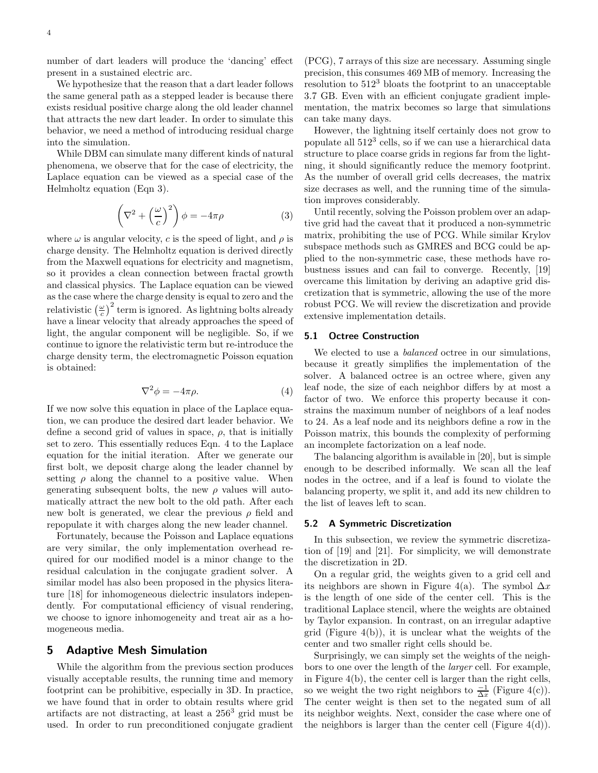number of dart leaders will produce the 'dancing' effect present in a sustained electric arc.

We hypothesize that the reason that a dart leader follows the same general path as a stepped leader is because there exists residual positive charge along the old leader channel that attracts the new dart leader. In order to simulate this behavior, we need a method of introducing residual charge into the simulation.

While DBM can simulate many different kinds of natural phenomena, we observe that for the case of electricity, the Laplace equation can be viewed as a special case of the Helmholtz equation (Eqn 3).

$$
\left(\nabla^2 + \left(\frac{\omega}{c}\right)^2\right)\phi = -4\pi\rho\tag{3}
$$

where  $\omega$  is angular velocity, c is the speed of light, and  $\rho$  is charge density. The Helmholtz equation is derived directly from the Maxwell equations for electricity and magnetism, so it provides a clean connection between fractal growth and classical physics. The Laplace equation can be viewed as the case where the charge density is equal to zero and the relativistic  $\left(\frac{\omega}{c}\right)^2$  term is ignored. As lightning bolts already have a linear velocity that already approaches the speed of light, the angular component will be negligible. So, if we continue to ignore the relativistic term but re-introduce the charge density term, the electromagnetic Poisson equation is obtained:

$$
\nabla^2 \phi = -4\pi \rho. \tag{4}
$$

If we now solve this equation in place of the Laplace equation, we can produce the desired dart leader behavior. We define a second grid of values in space,  $\rho$ , that is initially set to zero. This essentially reduces Eqn. 4 to the Laplace equation for the initial iteration. After we generate our first bolt, we deposit charge along the leader channel by setting  $\rho$  along the channel to a positive value. When generating subsequent bolts, the new  $\rho$  values will automatically attract the new bolt to the old path. After each new bolt is generated, we clear the previous  $\rho$  field and repopulate it with charges along the new leader channel.

Fortunately, because the Poisson and Laplace equations are very similar, the only implementation overhead required for our modified model is a minor change to the residual calculation in the conjugate gradient solver. A similar model has also been proposed in the physics literature [18] for inhomogeneous dielectric insulators independently. For computational efficiency of visual rendering, we choose to ignore inhomogeneity and treat air as a homogeneous media.

# 5 Adaptive Mesh Simulation

While the algorithm from the previous section produces visually acceptable results, the running time and memory footprint can be prohibitive, especially in 3D. In practice, we have found that in order to obtain results where grid artifacts are not distracting, at least a  $256<sup>3</sup>$  grid must be used. In order to run preconditioned conjugate gradient (PCG), 7 arrays of this size are necessary. Assuming single precision, this consumes 469 MB of memory. Increasing the resolution to  $512<sup>3</sup>$  bloats the footprint to an unacceptable 3.7 GB. Even with an efficient conjugate gradient implementation, the matrix becomes so large that simulations can take many days.

However, the lightning itself certainly does not grow to populate all 512<sup>3</sup> cells, so if we can use a hierarchical data structure to place coarse grids in regions far from the lightning, it should significantly reduce the memory footprint. As the number of overall grid cells decreases, the matrix size decrases as well, and the running time of the simulation improves considerably.

Until recently, solving the Poisson problem over an adaptive grid had the caveat that it produced a non-symmetric matrix, prohibiting the use of PCG. While similar Krylov subspace methods such as GMRES and BCG could be applied to the non-symmetric case, these methods have robustness issues and can fail to converge. Recently, [19] overcame this limitation by deriving an adaptive grid discretization that is symmetric, allowing the use of the more robust PCG. We will review the discretization and provide extensive implementation details.

## 5.1 Octree Construction

We elected to use a *balanced* octree in our simulations, because it greatly simplifies the implementation of the solver. A balanced octree is an octree where, given any leaf node, the size of each neighbor differs by at most a factor of two. We enforce this property because it constrains the maximum number of neighbors of a leaf nodes to 24. As a leaf node and its neighbors define a row in the Poisson matrix, this bounds the complexity of performing an incomplete factorization on a leaf node.

The balancing algorithm is available in [20], but is simple enough to be described informally. We scan all the leaf nodes in the octree, and if a leaf is found to violate the balancing property, we split it, and add its new children to the list of leaves left to scan.

## 5.2 A Symmetric Discretization

In this subsection, we review the symmetric discretization of [19] and [21]. For simplicity, we will demonstrate the discretization in 2D.

On a regular grid, the weights given to a grid cell and its neighbors are shown in Figure 4(a). The symbol  $\Delta x$ is the length of one side of the center cell. This is the traditional Laplace stencil, where the weights are obtained by Taylor expansion. In contrast, on an irregular adaptive grid (Figure  $4(b)$ ), it is unclear what the weights of the center and two smaller right cells should be.

Surprisingly, we can simply set the weights of the neighbors to one over the length of the larger cell. For example, in Figure 4(b), the center cell is larger than the right cells, so we weight the two right neighbors to  $\frac{-1}{\Delta x}$  (Figure 4(c)). The center weight is then set to the negated sum of all its neighbor weights. Next, consider the case where one of the neighbors is larger than the center cell (Figure  $4(d)$ ).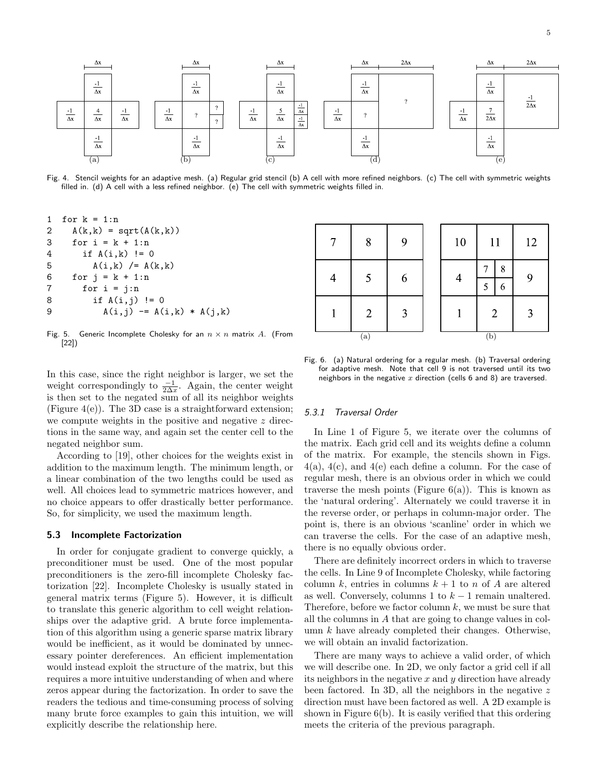

Fig. 4. Stencil weights for an adaptive mesh. (a) Regular grid stencil (b) A cell with more refined neighbors. (c) The cell with symmetric weights filled in. (d) A cell with a less refined neighbor. (e) The cell with symmetric weights filled in.

```
1 for k = 1:n2 A(k,k) = sqrt(A(k,k))3 for i = k + 1:n4 if A(i,k) != 0
5 A(i,k) /= A(k,k)6 for j = k + 1:n7 for i = j:n8 if A(i,j) != 0
9 A(i,j) = A(i,k) * A(j,k)
```
Fig. 5. Generic Incomplete Cholesky for an  $n \times n$  matrix A. (From [22])

In this case, since the right neighbor is larger, we set the weight correspondingly to  $\frac{-1}{2\Delta x}$ . Again, the center weight is then set to the negated sum of all its neighbor weights (Figure 4(e)). The 3D case is a straightforward extension; we compute weights in the positive and negative z directions in the same way, and again set the center cell to the negated neighbor sum.

According to [19], other choices for the weights exist in addition to the maximum length. The minimum length, or a linear combination of the two lengths could be used as well. All choices lead to symmetric matrices however, and no choice appears to offer drastically better performance. So, for simplicity, we used the maximum length.

#### 5.3 Incomplete Factorization

In order for conjugate gradient to converge quickly, a preconditioner must be used. One of the most popular preconditioners is the zero-fill incomplete Cholesky factorization [22]. Incomplete Cholesky is usually stated in general matrix terms (Figure 5). However, it is difficult to translate this generic algorithm to cell weight relationships over the adaptive grid. A brute force implementation of this algorithm using a generic sparse matrix library would be inefficient, as it would be dominated by unnecessary pointer dereferences. An efficient implementation would instead exploit the structure of the matrix, but this requires a more intuitive understanding of when and where zeros appear during the factorization. In order to save the readers the tedious and time-consuming process of solving many brute force examples to gain this intuition, we will explicitly describe the relationship here.

|            | 8              | 9 |  | 10 | 11             |        | 12 |
|------------|----------------|---|--|----|----------------|--------|----|
| 4          | 5              | 6 |  |    | 5              | 8<br>6 | 9  |
|            | $\overline{2}$ | 3 |  |    | $\overline{2}$ |        | 3  |
| (b)<br>(a) |                |   |  |    |                |        |    |

Fig. 6. (a) Natural ordering for a regular mesh. (b) Traversal ordering for adaptive mesh. Note that cell 9 is not traversed until its two neighbors in the negative  $x$  direction (cells 6 and 8) are traversed.

# 5.3.1 Traversal Order

In Line 1 of Figure 5, we iterate over the columns of the matrix. Each grid cell and its weights define a column of the matrix. For example, the stencils shown in Figs.  $4(a)$ ,  $4(c)$ , and  $4(e)$  each define a column. For the case of regular mesh, there is an obvious order in which we could traverse the mesh points (Figure  $6(a)$ ). This is known as the 'natural ordering'. Alternately we could traverse it in the reverse order, or perhaps in column-major order. The point is, there is an obvious 'scanline' order in which we can traverse the cells. For the case of an adaptive mesh, there is no equally obvious order.

There are definitely incorrect orders in which to traverse the cells. In Line 9 of Incomplete Cholesky, while factoring column k, entries in columns  $k + 1$  to n of A are altered as well. Conversely, columns 1 to  $k-1$  remain unaltered. Therefore, before we factor column  $k$ , we must be sure that all the columns in A that are going to change values in column k have already completed their changes. Otherwise, we will obtain an invalid factorization.

There are many ways to achieve a valid order, of which we will describe one. In 2D, we only factor a grid cell if all its neighbors in the negative  $x$  and  $y$  direction have already been factored. In 3D, all the neighbors in the negative z direction must have been factored as well. A 2D example is shown in Figure 6(b). It is easily verified that this ordering meets the criteria of the previous paragraph.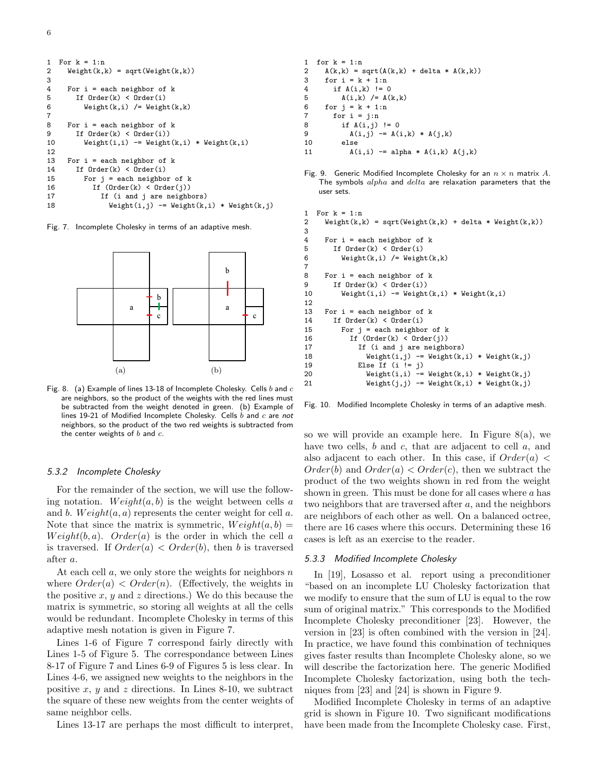```
1 For k = 1:n2 Weight(k, k) = sqrt(Weight(k, k))3
4 For i = each neighbor of k<br>5 If Order(k) < Order(i)5 If Order(k) < Order(i)<br>6 Weight(k i) /= Weigh
         Weight(k, i) /= Weight(k, k)7
8 For i = each neighbor of k<br>9 If Order(k) < Order(i)If Order(k) < Order(i)10 Weight(i,i) -= Weight(k,i) * Weight(k,i)12
13 For i = each neighbor of k
14 If Order(k) < Order(i)
15 For j = each neighbor of k
16 If (Order(k) < Order(j))
17 If (i and j are neighbors)
18 Weight(i, j) -= Weight(k, i) * Weight(k, j)
```
Fig. 7. Incomplete Cholesky in terms of an adaptive mesh.



Fig. 8. (a) Example of lines 13-18 of Incomplete Cholesky. Cells  $b$  and  $c$ are neighbors, so the product of the weights with the red lines must be subtracted from the weight denoted in green. (b) Example of lines 19-21 of Modified Incomplete Cholesky. Cells  $b$  and  $c$  are not neighbors, so the product of the two red weights is subtracted from the center weights of  $b$  and  $c$ .

### 5.3.2 Incomplete Cholesky

For the remainder of the section, we will use the following notation. Weight $(a, b)$  is the weight between cells a and b.  $Weight(a, a)$  represents the center weight for cell a. Note that since the matrix is symmetric,  $Weight(a, b)$  =  $Weight(b, a)$ .  $Order(a)$  is the order in which the cell a is traversed. If  $Order(a) < Order(b)$ , then b is traversed after a.

At each cell  $a$ , we only store the weights for neighbors  $n$ where  $Order(a) < Order(n)$ . (Effectively, the weights in the positive  $x, y$  and  $z$  directions.) We do this because the matrix is symmetric, so storing all weights at all the cells would be redundant. Incomplete Cholesky in terms of this adaptive mesh notation is given in Figure 7.

Lines 1-6 of Figure 7 correspond fairly directly with Lines 1-5 of Figure 5. The correspondance between Lines 8-17 of Figure 7 and Lines 6-9 of Figures 5 is less clear. In Lines 4-6, we assigned new weights to the neighbors in the positive x, y and z directions. In Lines 8-10, we subtract the square of these new weights from the center weights of same neighbor cells.

Lines 13-17 are perhaps the most difficult to interpret,

```
1 for k = 1:n2 A(k,k) = sqrt(A(k,k) + delta * A(k,k))<br>3 for i = k + 1:nfor i = k + 1:n4 if A(i,k) != 0
5 A(i,k) /= A(k,k)6 for j = k + 1:n7 for i = j:n8 if A(i,j) != 0
9 A(i,j) = A(i,k) * A(j,k)10 else
11 A(i,i) -= alpha * A(i,k) A(j,k)
```
Fig. 9. Generic Modified Incomplete Cholesky for an  $n \times n$  matrix A. The symbols  $alpha$  and  $delta$  are relaxation parameters that the user sets.

```
1 For k = 1:n
2 Weight(k, k) = sqrt(Weight(k, k) + delta * Weight(k, k))\frac{3}{4}For i = each neighbor of k5 If Order(k) < Order(i)<br>6 Weight(k,i) /= Weigh
        Weight(k, i) /= Weight(k, k)7
8 For i = each neighbor of k
9 If Order(k) < Order(i))
10 Weight(i,i) -= Weight(k,i) * Weight(k,i)12
13 For i = each neighbor of k
14 If Order(k) < Order(i)15 For j = each neighbor of k
16 If (Order(k) < Order(j))
17 If (i and j are neighbors)
18 Weight(i,j) -= Weight(k,i) * Weight(k,j)19 Else If (i != j)
20 Weight(i,i) -= Weight(k,i) * Weight(k,j)21 Weight(j, j) -= Weight(k, i) * Weight(k, j)
```
Fig. 10. Modified Incomplete Cholesky in terms of an adaptive mesh.

so we will provide an example here. In Figure  $8(a)$ , we have two cells, b and c, that are adjacent to cell a, and also adjacent to each other. In this case, if  $Order(a)$  $Order(b)$  and  $Order(a) < Order(c)$ , then we subtract the product of the two weights shown in red from the weight shown in green. This must be done for all cases where  $a$  has two neighbors that are traversed after a, and the neighbors are neighbors of each other as well. On a balanced octree, there are 16 cases where this occurs. Determining these 16 cases is left as an exercise to the reader.

# 5.3.3 Modified Incomplete Cholesky

In [19], Losasso et al. report using a preconditioner "based on an incomplete LU Cholesky factorization that we modify to ensure that the sum of LU is equal to the row sum of original matrix." This corresponds to the Modified Incomplete Cholesky preconditioner [23]. However, the version in [23] is often combined with the version in [24]. In practice, we have found this combination of techniques gives faster results than Incomplete Cholesky alone, so we will describe the factorization here. The generic Modified Incomplete Cholesky factorization, using both the techniques from [23] and [24] is shown in Figure 9.

Modified Incomplete Cholesky in terms of an adaptive grid is shown in Figure 10. Two significant modifications have been made from the Incomplete Cholesky case. First,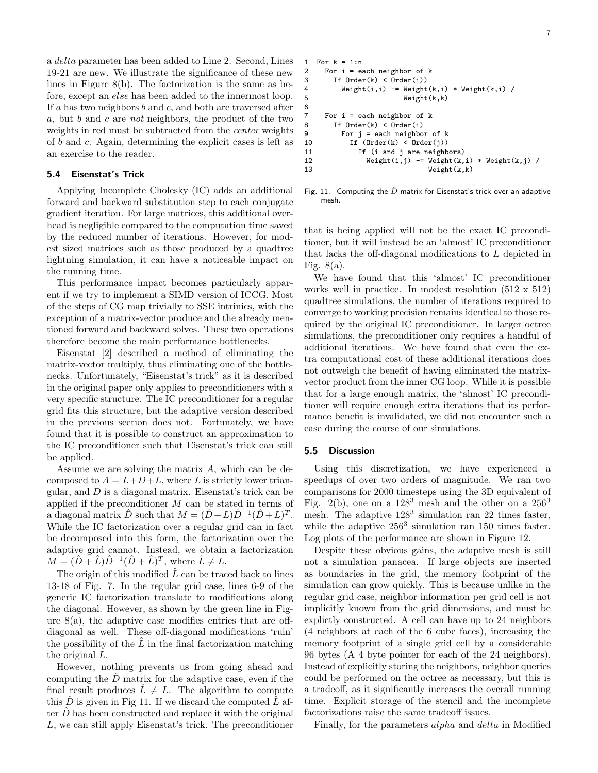a delta parameter has been added to Line 2. Second, Lines 19-21 are new. We illustrate the significance of these new lines in Figure 8(b). The factorization is the same as before, except an else has been added to the innermost loop. If  $a$  has two neighbors  $b$  and  $c$ , and both are traversed after a, but b and c are not neighbors, the product of the two weights in red must be subtracted from the center weights of b and c. Again, determining the explicit cases is left as an exercise to the reader.

#### 5.4 Eisenstat's Trick

Applying Incomplete Cholesky (IC) adds an additional forward and backward substitution step to each conjugate gradient iteration. For large matrices, this additional overhead is negligible compared to the computation time saved by the reduced number of iterations. However, for modest sized matrices such as those produced by a quadtree lightning simulation, it can have a noticeable impact on the running time.

This performance impact becomes particularly apparent if we try to implement a SIMD version of ICCG. Most of the steps of CG map trivially to SSE intrinics, with the exception of a matrix-vector produce and the already mentioned forward and backward solves. These two operations therefore become the main performance bottlenecks.

Eisenstat [2] described a method of eliminating the matrix-vector multiply, thus eliminating one of the bottlenecks. Unfortunately, "Eisenstat's trick" as it is described in the original paper only applies to preconditioners with a very specific structure. The IC preconditioner for a regular grid fits this structure, but the adaptive version described in the previous section does not. Fortunately, we have found that it is possible to construct an approximation to the IC preconditioner such that Eisenstat's trick can still be applied.

Assume we are solving the matrix A, which can be decomposed to  $A = L+D+L$ , where L is strictly lower triangular, and D is a diagonal matrix. Eisenstat's trick can be applied if the preconditioner  $M$  can be stated in terms of a diagonal matrix  $\hat{D}$  such that  $M = (\hat{D} + L)\hat{D}^{-1}(\hat{D} + L)^{T}$ . While the IC factorization over a regular grid can in fact be decomposed into this form, the factorization over the adaptive grid cannot. Instead, we obtain a factorization  $M = (\hat{D} + \hat{L})\hat{D}^{-1}(\hat{D} + \hat{L})^T$ , where  $\hat{L} \neq L$ .

The origin of this modified  $\tilde{L}$  can be traced back to lines 13-18 of Fig. 7. In the regular grid case, lines 6-9 of the generic IC factorization translate to modifications along the diagonal. However, as shown by the green line in Figure  $8(a)$ , the adaptive case modifies entries that are offdiagonal as well. These off-diagonal modifications 'ruin' the possibility of the  $\tilde{L}$  in the final factorization matching the original L.

However, nothing prevents us from going ahead and computing the  $D$  matrix for the adaptive case, even if the final result produces  $L \neq L$ . The algorithm to compute this  $\hat{D}$  is given in Fig 11. If we discard the computed  $\hat{L}$  after  $\ddot{D}$  has been constructed and replace it with the original L, we can still apply Eisenstat's trick. The preconditioner

```
1 For k = 1:n2 For i = each neighbor of k
3 If Order(k) < Order(i)4 Weight(i,i) -= Weight(k,i) * Weight(k,i) /
5 Weight(k,k)
6
7 For i = each neighbor of k<br>8 If Order(k) < Order(i)8 If Order(k) < Order(i)<br>9 For j = each neighbor
        For j = each neighbor of k10 If (Order(k) < Order(j))
11 If (i and j are neighbors)
12 Weight(i,j) -= Weight(k,i) * Weight(k,j) /
13 Weight(k,k)
```
Fig. 11. Computing the  $\hat{D}$  matrix for Eisenstat's trick over an adaptive mesh.

that is being applied will not be the exact IC preconditioner, but it will instead be an 'almost' IC preconditioner that lacks the off-diagonal modifications to L depicted in Fig.  $8(a)$ .

We have found that this 'almost' IC preconditioner works well in practice. In modest resolution (512 x 512) quadtree simulations, the number of iterations required to converge to working precision remains identical to those required by the original IC preconditioner. In larger octree simulations, the preconditioner only requires a handful of additional iterations. We have found that even the extra computational cost of these additional iterations does not outweigh the benefit of having eliminated the matrixvector product from the inner CG loop. While it is possible that for a large enough matrix, the 'almost' IC preconditioner will require enough extra iterations that its performance benefit is invalidated, we did not encounter such a case during the course of our simulations.

## 5.5 Discussion

Using this discretization, we have experienced a speedups of over two orders of magnitude. We ran two comparisons for 2000 timesteps using the 3D equivalent of Fig. 2(b), one on a  $128^3$  mesh and the other on a  $256^3$ mesh. The adaptive  $128<sup>3</sup>$  simulation ran 22 times faster, while the adaptive  $256^3$  simulation ran 150 times faster. Log plots of the performance are shown in Figure 12.

Despite these obvious gains, the adaptive mesh is still not a simulation panacea. If large objects are inserted as boundaries in the grid, the memory footprint of the simulation can grow quickly. This is because unlike in the regular grid case, neighbor information per grid cell is not implicitly known from the grid dimensions, and must be explictly constructed. A cell can have up to 24 neighbors (4 neighbors at each of the 6 cube faces), increasing the memory footprint of a single grid cell by a considerable 96 bytes (A 4 byte pointer for each of the 24 neighbors). Instead of explicitly storing the neighbors, neighbor queries could be performed on the octree as necessary, but this is a tradeoff, as it significantly increases the overall running time. Explicit storage of the stencil and the incomplete factorizations raise the same tradeoff issues.

Finally, for the parameters alpha and delta in Modified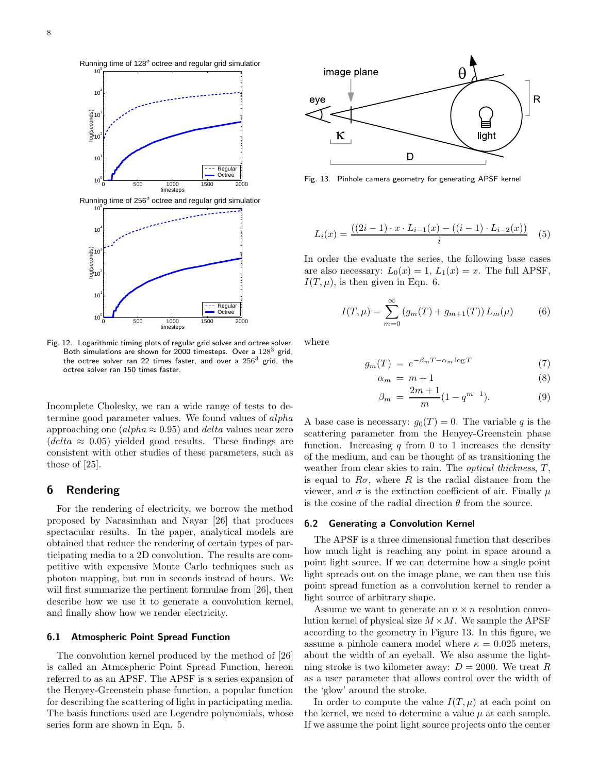

Fig. 12. Logarithmic timing plots of regular grid solver and octree solver. Both simulations are shown for 2000 timesteps. Over a  $128<sup>3</sup>$  grid, the octree solver ran 22 times faster, and over a  $256<sup>3</sup>$  grid, the octree solver ran 150 times faster.

Incomplete Cholesky, we ran a wide range of tests to determine good parameter values. We found values of alpha approaching one (alpha  $\approx 0.95$ ) and delta values near zero  $(delta \approx 0.05)$  yielded good results. These findings are consistent with other studies of these parameters, such as those of [25].

# 6 Rendering

For the rendering of electricity, we borrow the method proposed by Narasimhan and Nayar [26] that produces spectacular results. In the paper, analytical models are obtained that reduce the rendering of certain types of participating media to a 2D convolution. The results are competitive with expensive Monte Carlo techniques such as photon mapping, but run in seconds instead of hours. We will first summarize the pertinent formulae from [26], then describe how we use it to generate a convolution kernel, and finally show how we render electricity.

## 6.1 Atmospheric Point Spread Function

The convolution kernel produced by the method of [26] is called an Atmospheric Point Spread Function, hereon referred to as an APSF. The APSF is a series expansion of the Henyey-Greenstein phase function, a popular function for describing the scattering of light in participating media. The basis functions used are Legendre polynomials, whose series form are shown in Eqn. 5.



Fig. 13. Pinhole camera geometry for generating APSF kernel

$$
L_i(x) = \frac{((2i-1) \cdot x \cdot L_{i-1}(x) - ((i-1) \cdot L_{i-2}(x)))}{i} \tag{5}
$$

In order the evaluate the series, the following base cases are also necessary:  $L_0(x) = 1$ ,  $L_1(x) = x$ . The full APSF,  $I(T, \mu)$ , is then given in Eqn. 6.

$$
I(T,\mu) = \sum_{m=0}^{\infty} (g_m(T) + g_{m+1}(T)) L_m(\mu)
$$
 (6)

where

$$
g_m(T) = e^{-\beta_m T - \alpha_m \log T} \tag{7}
$$

$$
\alpha_m = m + 1 \tag{8}
$$

$$
\beta_m = \frac{2m+1}{m}(1 - q^{m-1}).\tag{9}
$$

A base case is necessary:  $g_0(T) = 0$ . The variable q is the scattering parameter from the Henyey-Greenstein phase function. Increasing  $q$  from 0 to 1 increases the density of the medium, and can be thought of as transitioning the weather from clear skies to rain. The *optical thickness*, T, is equal to  $R\sigma$ , where R is the radial distance from the viewer, and  $\sigma$  is the extinction coefficient of air. Finally  $\mu$ is the cosine of the radial direction  $\theta$  from the source.

## 6.2 Generating a Convolution Kernel

The APSF is a three dimensional function that describes how much light is reaching any point in space around a point light source. If we can determine how a single point light spreads out on the image plane, we can then use this point spread function as a convolution kernel to render a light source of arbitrary shape.

Assume we want to generate an  $n \times n$  resolution convolution kernel of physical size  $M \times M$ . We sample the APSF according to the geometry in Figure 13. In this figure, we assume a pinhole camera model where  $\kappa = 0.025$  meters, about the width of an eyeball. We also assume the lightning stroke is two kilometer away:  $D = 2000$ . We treat R as a user parameter that allows control over the width of the 'glow' around the stroke.

In order to compute the value  $I(T, \mu)$  at each point on the kernel, we need to determine a value  $\mu$  at each sample. If we assume the point light source projects onto the center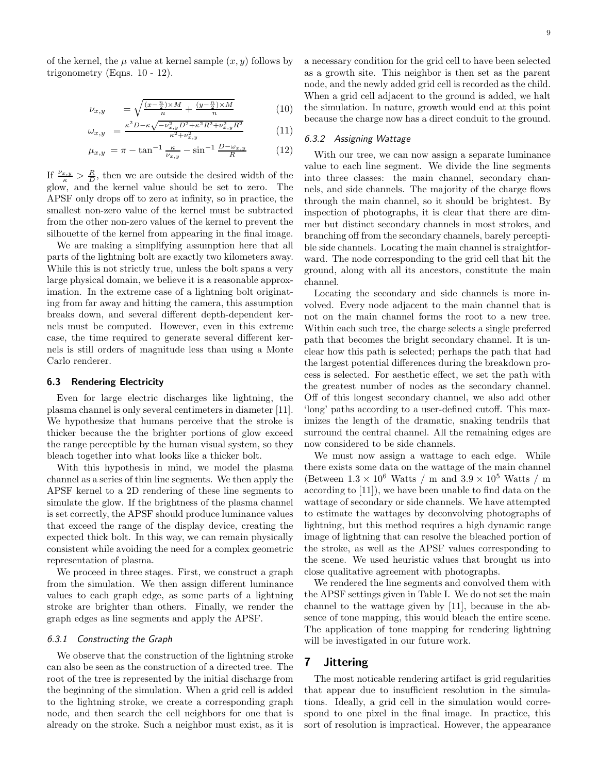of the kernel, the  $\mu$  value at kernel sample  $(x, y)$  follows by trigonometry (Eqns. 10 - 12).

$$
\nu_{x,y} = \sqrt{\frac{(x-\frac{n}{2}) \times M}{n} + \frac{(y-\frac{n}{2}) \times M}{n}} \tag{10}
$$

$$
\omega_{x,y} = \frac{\kappa^2 D - \kappa \sqrt{-\nu_{x,y}^2 D^2 + \kappa^2 R^2 + \nu_{x,y}^2 R^2}}{\kappa^2 + \nu_{x,y}^2} \tag{11}
$$

$$
\mu_{x,y} = \pi - \tan^{-1} \frac{\kappa}{\nu_{x,y}} - \sin^{-1} \frac{D - \omega_{x,y}}{R}
$$
 (12)

If  $\frac{\nu_{x,y}}{\kappa} > \frac{R}{D}$ , then we are outside the desired width of the glow, and the kernel value should be set to zero. The APSF only drops off to zero at infinity, so in practice, the smallest non-zero value of the kernel must be subtracted from the other non-zero values of the kernel to prevent the silhouette of the kernel from appearing in the final image.

We are making a simplifying assumption here that all parts of the lightning bolt are exactly two kilometers away. While this is not strictly true, unless the bolt spans a very large physical domain, we believe it is a reasonable approximation. In the extreme case of a lightning bolt originating from far away and hitting the camera, this assumption breaks down, and several different depth-dependent kernels must be computed. However, even in this extreme case, the time required to generate several different kernels is still orders of magnitude less than using a Monte Carlo renderer.

# 6.3 Rendering Electricity

Even for large electric discharges like lightning, the plasma channel is only several centimeters in diameter [11]. We hypothesize that humans perceive that the stroke is thicker because the the brighter portions of glow exceed the range perceptible by the human visual system, so they bleach together into what looks like a thicker bolt.

With this hypothesis in mind, we model the plasma channel as a series of thin line segments. We then apply the APSF kernel to a 2D rendering of these line segments to simulate the glow. If the brightness of the plasma channel is set correctly, the APSF should produce luminance values that exceed the range of the display device, creating the expected thick bolt. In this way, we can remain physically consistent while avoiding the need for a complex geometric representation of plasma.

We proceed in three stages. First, we construct a graph from the simulation. We then assign different luminance values to each graph edge, as some parts of a lightning stroke are brighter than others. Finally, we render the graph edges as line segments and apply the APSF.

## 6.3.1 Constructing the Graph

We observe that the construction of the lightning stroke can also be seen as the construction of a directed tree. The root of the tree is represented by the initial discharge from the beginning of the simulation. When a grid cell is added to the lightning stroke, we create a corresponding graph node, and then search the cell neighbors for one that is already on the stroke. Such a neighbor must exist, as it is

a necessary condition for the grid cell to have been selected as a growth site. This neighbor is then set as the parent node, and the newly added grid cell is recorded as the child. When a grid cell adjacent to the ground is added, we halt the simulation. In nature, growth would end at this point because the charge now has a direct conduit to the ground.

# 6.3.2 Assigning Wattage

With our tree, we can now assign a separate luminance value to each line segment. We divide the line segments into three classes: the main channel, secondary channels, and side channels. The majority of the charge flows through the main channel, so it should be brightest. By inspection of photographs, it is clear that there are dimmer but distinct secondary channels in most strokes, and branching off from the secondary channels, barely perceptible side channels. Locating the main channel is straightforward. The node corresponding to the grid cell that hit the ground, along with all its ancestors, constitute the main channel.

Locating the secondary and side channels is more involved. Every node adjacent to the main channel that is not on the main channel forms the root to a new tree. Within each such tree, the charge selects a single preferred path that becomes the bright secondary channel. It is unclear how this path is selected; perhaps the path that had the largest potential differences during the breakdown process is selected. For aesthetic effect, we set the path with the greatest number of nodes as the secondary channel. Off of this longest secondary channel, we also add other 'long' paths according to a user-defined cutoff. This maximizes the length of the dramatic, snaking tendrils that surround the central channel. All the remaining edges are now considered to be side channels.

We must now assign a wattage to each edge. While there exists some data on the wattage of the main channel (Between  $1.3 \times 10^6$  Watts / m and  $3.9 \times 10^5$  Watts / m according to [11]), we have been unable to find data on the wattage of secondary or side channels. We have attempted to estimate the wattages by deconvolving photographs of lightning, but this method requires a high dynamic range image of lightning that can resolve the bleached portion of the stroke, as well as the APSF values corresponding to the scene. We used heuristic values that brought us into close qualitative agreement with photographs.

We rendered the line segments and convolved them with the APSF settings given in Table I. We do not set the main channel to the wattage given by [11], because in the absence of tone mapping, this would bleach the entire scene. The application of tone mapping for rendering lightning will be investigated in our future work.

# 7 Jittering

The most noticable rendering artifact is grid regularities that appear due to insufficient resolution in the simulations. Ideally, a grid cell in the simulation would correspond to one pixel in the final image. In practice, this sort of resolution is impractical. However, the appearance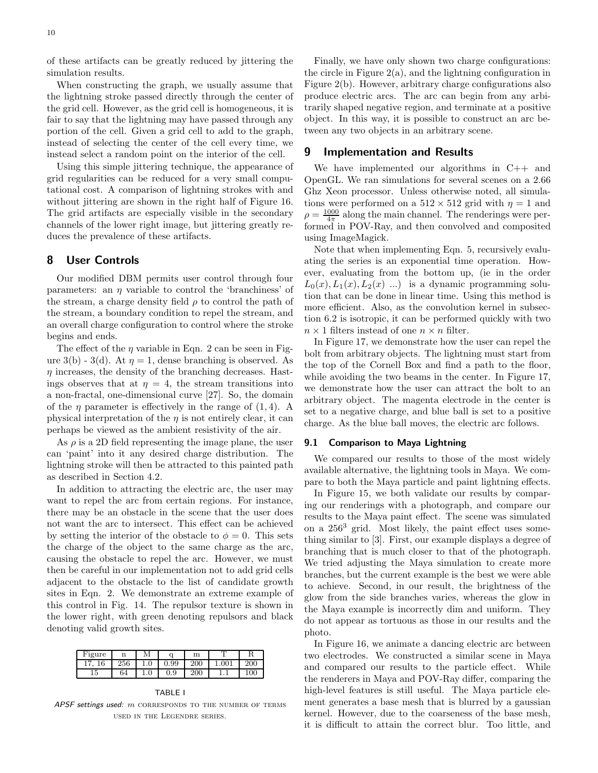When constructing the graph, we usually assume that the lightning stroke passed directly through the center of the grid cell. However, as the grid cell is homogeneous, it is fair to say that the lightning may have passed through any portion of the cell. Given a grid cell to add to the graph, instead of selecting the center of the cell every time, we instead select a random point on the interior of the cell.

Using this simple jittering technique, the appearance of grid regularities can be reduced for a very small computational cost. A comparison of lightning strokes with and without jittering are shown in the right half of Figure 16. The grid artifacts are especially visible in the secondary channels of the lower right image, but jittering greatly reduces the prevalence of these artifacts.

# 8 User Controls

Our modified DBM permits user control through four parameters: an  $\eta$  variable to control the 'branchiness' of the stream, a charge density field  $\rho$  to control the path of the stream, a boundary condition to repel the stream, and an overall charge configuration to control where the stroke begins and ends.

The effect of the  $\eta$  variable in Eqn. 2 can be seen in Figure 3(b) - 3(d). At  $\eta = 1$ , dense branching is observed. As  $\eta$  increases, the density of the branching decreases. Hastings observes that at  $\eta = 4$ , the stream transitions into a non-fractal, one-dimensional curve [27]. So, the domain of the  $\eta$  parameter is effectively in the range of (1, 4). A physical interpretation of the  $\eta$  is not entirely clear, it can perhaps be viewed as the ambient resistivity of the air.

As  $\rho$  is a 2D field representing the image plane, the user can 'paint' into it any desired charge distribution. The lightning stroke will then be attracted to this painted path as described in Section 4.2.

In addition to attracting the electric arc, the user may want to repel the arc from certain regions. For instance, there may be an obstacle in the scene that the user does not want the arc to intersect. This effect can be achieved by setting the interior of the obstacle to  $\phi = 0$ . This sets the charge of the object to the same charge as the arc, causing the obstacle to repel the arc. However, we must then be careful in our implementation not to add grid cells adjacent to the obstacle to the list of candidate growth sites in Eqn. 2. We demonstrate an extreme example of this control in Fig. 14. The repulsor texture is shown in the lower right, with green denoting repulsors and black denoting valid growth sites.

| 'igure | ÷   | V. | ∼         | m   |  |
|--------|-----|----|-----------|-----|--|
| c      | 256 | v  | 0.99      | 200 |  |
| LЭ     | 64  | U  | Q<br>U. I | 200 |  |

TABLE I

APSF settings used: m CORRESPONDS TO THE NUMBER OF TERMS used in the Legendre series.

Finally, we have only shown two charge configurations: the circle in Figure  $2(a)$ , and the lightning configuration in Figure 2(b). However, arbitrary charge configurations also produce electric arcs. The arc can begin from any arbitrarily shaped negative region, and terminate at a positive object. In this way, it is possible to construct an arc between any two objects in an arbitrary scene.

# 9 Implementation and Results

We have implemented our algorithms in C++ and OpenGL. We ran simulations for several scenes on a 2.66 Ghz Xeon processor. Unless otherwise noted, all simulations were performed on a  $512 \times 512$  grid with  $\eta = 1$  and  $\rho = \frac{1000}{4\pi}$  along the main channel. The renderings were performed in POV-Ray, and then convolved and composited using ImageMagick.

Note that when implementing Eqn. 5, recursively evaluating the series is an exponential time operation. However, evaluating from the bottom up, (ie in the order  $L_0(x)$ ,  $L_1(x)$ ,  $L_2(x)$  ...) is a dynamic programming solution that can be done in linear time. Using this method is more efficient. Also, as the convolution kernel in subsection 6.2 is isotropic, it can be performed quickly with two  $n \times 1$  filters instead of one  $n \times n$  filter.

In Figure 17, we demonstrate how the user can repel the bolt from arbitrary objects. The lightning must start from the top of the Cornell Box and find a path to the floor, while avoiding the two beams in the center. In Figure 17, we demonstrate how the user can attract the bolt to an arbitrary object. The magenta electrode in the center is set to a negative charge, and blue ball is set to a positive charge. As the blue ball moves, the electric arc follows.

# 9.1 Comparison to Maya Lightning

We compared our results to those of the most widely available alternative, the lightning tools in Maya. We compare to both the Maya particle and paint lightning effects.

In Figure 15, we both validate our results by comparing our renderings with a photograph, and compare our results to the Maya paint effect. The scene was simulated on a  $256<sup>3</sup>$  grid. Most likely, the paint effect uses something similar to [3]. First, our example displays a degree of branching that is much closer to that of the photograph. We tried adjusting the Maya simulation to create more branches, but the current example is the best we were able to achieve. Second, in our result, the brightness of the glow from the side branches varies, whereas the glow in the Maya example is incorrectly dim and uniform. They do not appear as tortuous as those in our results and the photo.

In Figure 16, we animate a dancing electric arc between two electrodes. We constructed a similar scene in Maya and compared our results to the particle effect. While the renderers in Maya and POV-Ray differ, comparing the high-level features is still useful. The Maya particle element generates a base mesh that is blurred by a gaussian kernel. However, due to the coarseness of the base mesh, it is difficult to attain the correct blur. Too little, and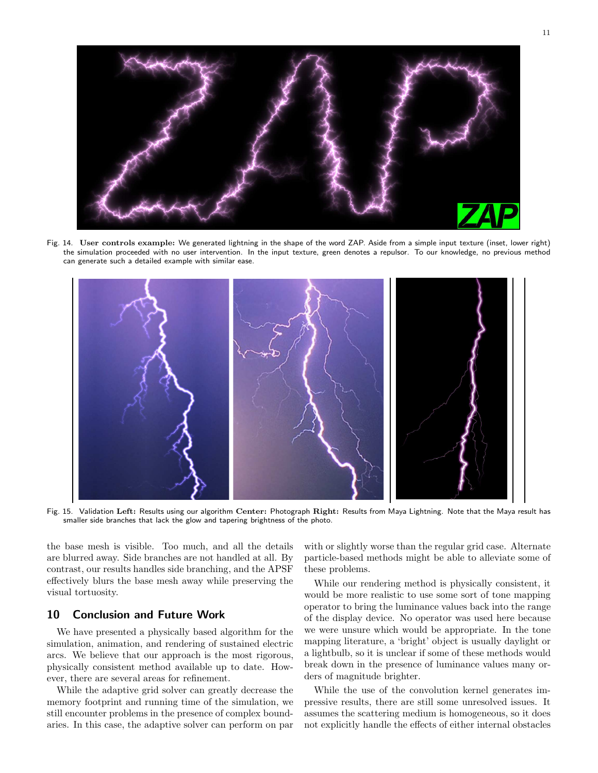

Fig. 14. User controls example: We generated lightning in the shape of the word ZAP. Aside from a simple input texture (inset, lower right) the simulation proceeded with no user intervention. In the input texture, green denotes a repulsor. To our knowledge, no previous method can generate such a detailed example with similar ease.



Fig. 15. Validation Left: Results using our algorithm Center: Photograph Right: Results from Maya Lightning. Note that the Maya result has smaller side branches that lack the glow and tapering brightness of the photo.

the base mesh is visible. Too much, and all the details are blurred away. Side branches are not handled at all. By contrast, our results handles side branching, and the APSF effectively blurs the base mesh away while preserving the visual tortuosity.

# 10 Conclusion and Future Work

We have presented a physically based algorithm for the simulation, animation, and rendering of sustained electric arcs. We believe that our approach is the most rigorous, physically consistent method available up to date. However, there are several areas for refinement.

While the adaptive grid solver can greatly decrease the memory footprint and running time of the simulation, we still encounter problems in the presence of complex boundaries. In this case, the adaptive solver can perform on par with or slightly worse than the regular grid case. Alternate particle-based methods might be able to alleviate some of these problems.

While our rendering method is physically consistent, it would be more realistic to use some sort of tone mapping operator to bring the luminance values back into the range of the display device. No operator was used here because we were unsure which would be appropriate. In the tone mapping literature, a 'bright' object is usually daylight or a lightbulb, so it is unclear if some of these methods would break down in the presence of luminance values many orders of magnitude brighter.

While the use of the convolution kernel generates impressive results, there are still some unresolved issues. It assumes the scattering medium is homogeneous, so it does not explicitly handle the effects of either internal obstacles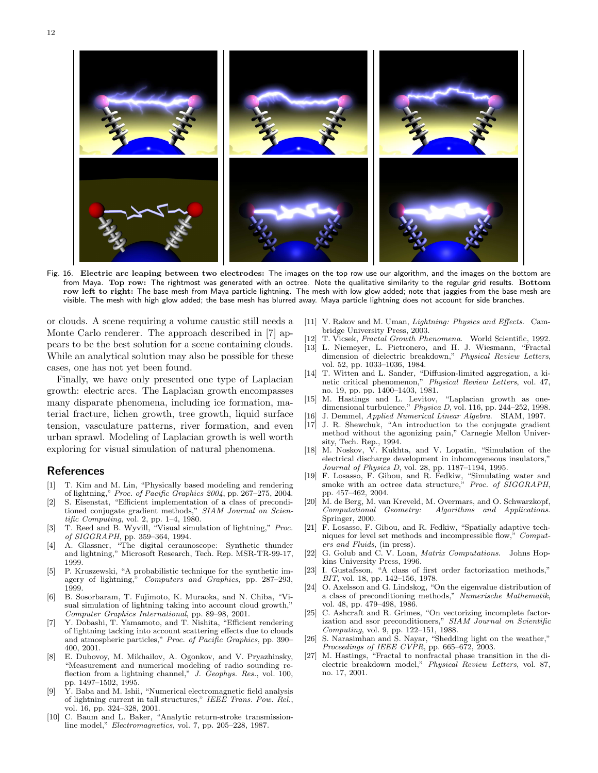

Fig. 16. Electric arc leaping between two electrodes: The images on the top row use our algorithm, and the images on the bottom are from Maya. Top row: The rightmost was generated with an octree. Note the qualitative similarity to the regular grid results. Bottom row left to right: The base mesh from Maya particle lightning. The mesh with low glow added; note that jaggies from the base mesh are visible. The mesh with high glow added; the base mesh has blurred away. Maya particle lightning does not account for side branches.

or clouds. A scene requiring a volume caustic still needs a Monte Carlo renderer. The approach described in [7] appears to be the best solution for a scene containing clouds. While an analytical solution may also be possible for these cases, one has not yet been found.

Finally, we have only presented one type of Laplacian growth: electric arcs. The Laplacian growth encompasses many disparate phenomena, including ice formation, material fracture, lichen growth, tree growth, liquid surface tension, vasculature patterns, river formation, and even urban sprawl. Modeling of Laplacian growth is well worth exploring for visual simulation of natural phenomena.

## References

- [1] T. Kim and M. Lin, "Physically based modeling and rendering of lightning," Proc. of Pacific Graphics 2004, pp. 267–275, 2004.
- [2] S. Eisenstat, "Efficient implementation of a class of preconditioned conjugate gradient methods," SIAM Journal on Scientific Computing, vol. 2, pp. 1–4, 1980.
- [3] T. Reed and B. Wyvill, "Visual simulation of lightning," Proc. of SIGGRAPH, pp. 359–364, 1994.
- [4] A. Glassner, "The digital ceraunoscope: Synthetic thunder and lightning," Microsoft Research, Tech. Rep. MSR-TR-99-17, 1999.
- [5] P. Kruszewski, "A probabilistic technique for the synthetic imagery of lightning," Computers and Graphics, pp. 287–293, 1999.
- [6] B. Sosorbaram, T. Fujimoto, K. Muraoka, and N. Chiba, "Visual simulation of lightning taking into account cloud growth," Computer Graphics International, pp. 89–98, 2001.
- Y. Dobashi, T. Yamamoto, and T. Nishita, "Efficient rendering of lightning tacking into account scattering effects due to clouds and atmospheric particles," Proc. of Pacific Graphics, pp. 390– 400, 2001.
- [8] E. Dubovoy, M. Mikhailov, A. Ogonkov, and V. Pryazhinsky, "Measurement and numerical modeling of radio sounding reflection from a lightning channel," J. Geophys. Res., vol. 100, pp. 1497–1502, 1995.
- [9] Y. Baba and M. Ishii, "Numerical electromagnetic field analysis of lightning current in tall structures," IEEE Trans. Pow. Rel., vol. 16, pp. 324–328, 2001.
- [10] C. Baum and L. Baker, "Analytic return-stroke transmissionline model," Electromagnetics, vol. 7, pp. 205–228, 1987.
- [11] V. Rakov and M. Uman, *Lightning: Physics and Effects*. Cambridge University Press, 2003.
- [12] T. Vicsek, Fractal Growth Phenomena. World Scientific, 1992.
- [13] L. Niemeyer, L. Pietronero, and H. J. Wiesmann, "Fractal dimension of dielectric breakdown," Physical Review Letters, vol. 52, pp. 1033–1036, 1984.
- [14] T. Witten and L. Sander, "Diffusion-limited aggregation, a kinetic critical phenomenon," Physical Review Letters, vol. 47, no. 19, pp. pp. 1400–1403, 1981.
- [15] M. Hastings and L. Levitov, "Laplacian growth as onedimensional turbulence," Physica D, vol. 116, pp. 244–252, 1998.
- [16] J. Demmel, Applied Numerical Linear Algebra. SIAM, 1997.
- [17] J. R. Shewchuk, "An introduction to the conjugate gradient method without the agonizing pain," Carnegie Mellon University, Tech. Rep., 1994.
- [18] M. Noskov, V. Kukhta, and V. Lopatin, "Simulation of the electrical discharge development in inhomogeneous insulators, Journal of Physics D, vol. 28, pp. 1187–1194, 1995.
- [19] F. Losasso, F. Gibou, and R. Fedkiw, "Simulating water and smoke with an octree data structure," Proc. of SIGGRAPH, pp. 457–462, 2004.
- [20] M. de Berg, M. van Kreveld, M. Overmars, and O. Schwarzkopf, Algorithms and Applications. Springer, 2000.
- [21] F. Losasso, F. Gibou, and R. Fedkiw, "Spatially adaptive techniques for level set methods and incompressible flow," Computers and Fluids, (in press).
- [22] G. Golub and C. V. Loan, *Matrix Computations*. Johns Hopkins University Press, 1996.
- [23] I. Gustafsson, "A class of first order factorization methods," BIT, vol. 18, pp. 142–156, 1978.
- [24] O. Axelsson and G. Lindskog, "On the eigenvalue distribution of a class of preconditioning methods," Numerische Mathematik, vol. 48, pp. 479–498, 1986.
- [25] C. Ashcraft and R. Grimes, "On vectorizing incomplete factorization and ssor preconditioners," SIAM Journal on Scientific Computing, vol. 9, pp. 122–151, 1988.
- [26] S. Narasimhan and S. Nayar, "Shedding light on the weather," Proceedings of IEEE CVPR, pp. 665-672, 2003.
- [27] M. Hastings, "Fractal to nonfractal phase transition in the dielectric breakdown model," Physical Review Letters, vol. 87, no. 17, 2001.